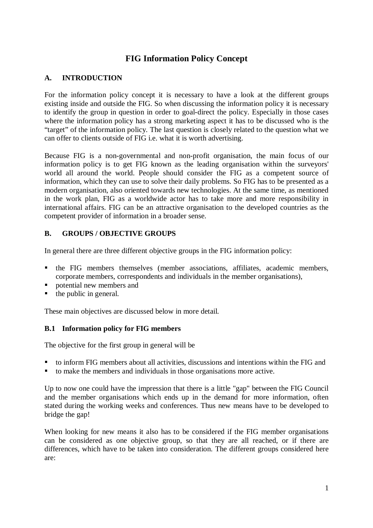# **FIG Information Policy Concept**

### **A. INTRODUCTION**

For the information policy concept it is necessary to have a look at the different groups existing inside and outside the FIG. So when discussing the information policy it is necessary to identify the group in question in order to goal-direct the policy. Especially in those cases where the information policy has a strong marketing aspect it has to be discussed who is the "target" of the information policy. The last question is closely related to the question what we can offer to clients outside of FIG i.e. what it is worth advertising.

Because FIG is a non-governmental and non-profit organisation, the main focus of our information policy is to get FIG known as the leading organisation within the surveyors' world all around the world. People should consider the FIG as a competent source of information, which they can use to solve their daily problems. So FIG has to be presented as a modern organisation, also oriented towards new technologies. At the same time, as mentioned in the work plan, FIG as a worldwide actor has to take more and more responsibility in international affairs. FIG can be an attractive organisation to the developed countries as the competent provider of information in a broader sense.

#### **B. GROUPS / OBJECTIVE GROUPS**

In general there are three different objective groups in the FIG information policy:

- the FIG members themselves (member associations, affiliates, academic members, corporate members, correspondents and individuals in the member organisations),
- potential new members and
- the public in general.

These main objectives are discussed below in more detail.

#### **B.1 Information policy for FIG members**

The objective for the first group in general will be

- to inform FIG members about all activities, discussions and intentions within the FIG and
- to make the members and individuals in those organisations more active.

Up to now one could have the impression that there is a little "gap" between the FIG Council and the member organisations which ends up in the demand for more information, often stated during the working weeks and conferences. Thus new means have to be developed to bridge the gap!

When looking for new means it also has to be considered if the FIG member organisations can be considered as one objective group, so that they are all reached, or if there are differences, which have to be taken into consideration. The different groups considered here are: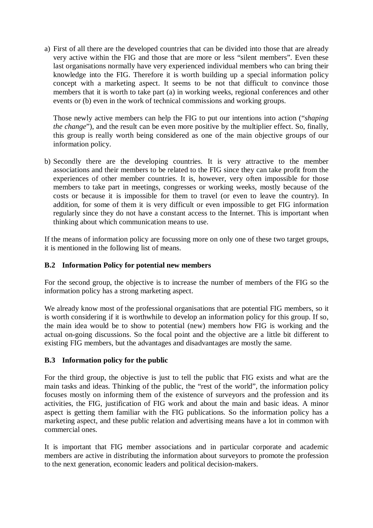a) First of all there are the developed countries that can be divided into those that are already very active within the FIG and those that are more or less "silent members". Even these last organisations normally have very experienced individual members who can bring their knowledge into the FIG. Therefore it is worth building up a special information policy concept with a marketing aspect. It seems to be not that difficult to convince those members that it is worth to take part (a) in working weeks, regional conferences and other events or (b) even in the work of technical commissions and working groups.

Those newly active members can help the FIG to put our intentions into action ("*shaping the change*"), and the result can be even more positive by the multiplier effect. So, finally, this group is really worth being considered as one of the main objective groups of our information policy.

b) Secondly there are the developing countries. It is very attractive to the member associations and their members to be related to the FIG since they can take profit from the experiences of other member countries. It is, however, very often impossible for those members to take part in meetings, congresses or working weeks, mostly because of the costs or because it is impossible for them to travel (or even to leave the country). In addition, for some of them it is very difficult or even impossible to get FIG information regularly since they do not have a constant access to the Internet. This is important when thinking about which communication means to use.

If the means of information policy are focussing more on only one of these two target groups, it is mentioned in the following list of means.

#### **B.2 Information Policy for potential new members**

For the second group, the objective is to increase the number of members of the FIG so the information policy has a strong marketing aspect.

We already know most of the professional organisations that are potential FIG members, so it is worth considering if it is worthwhile to develop an information policy for this group. If so, the main idea would be to show to potential (new) members how FIG is working and the actual on-going discussions. So the focal point and the objective are a little bit different to existing FIG members, but the advantages and disadvantages are mostly the same.

#### **B.3 Information policy for the public**

For the third group, the objective is just to tell the public that FIG exists and what are the main tasks and ideas. Thinking of the public, the "rest of the world", the information policy focuses mostly on informing them of the existence of surveyors and the profession and its activities, the FIG, justification of FIG work and about the main and basic ideas. A minor aspect is getting them familiar with the FIG publications. So the information policy has a marketing aspect, and these public relation and advertising means have a lot in common with commercial ones.

It is important that FIG member associations and in particular corporate and academic members are active in distributing the information about surveyors to promote the profession to the next generation, economic leaders and political decision-makers.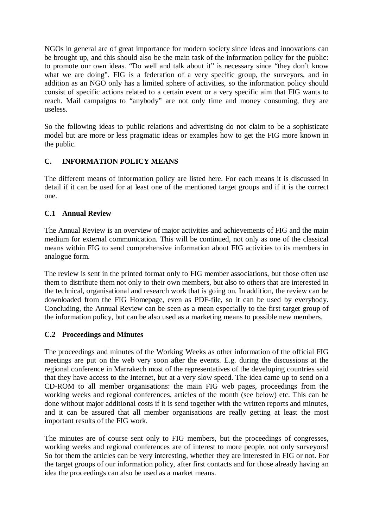NGOs in general are of great importance for modern society since ideas and innovations can be brought up, and this should also be the main task of the information policy for the public: to promote our own ideas. "Do well and talk about it" is necessary since "they don't know what we are doing". FIG is a federation of a very specific group, the surveyors, and in addition as an NGO only has a limited sphere of activities, so the information policy should consist of specific actions related to a certain event or a very specific aim that FIG wants to reach. Mail campaigns to "anybody" are not only time and money consuming, they are useless.

So the following ideas to public relations and advertising do not claim to be a sophisticate model but are more or less pragmatic ideas or examples how to get the FIG more known in the public.

## **C. INFORMATION POLICY MEANS**

The different means of information policy are listed here. For each means it is discussed in detail if it can be used for at least one of the mentioned target groups and if it is the correct one.

## **C.1 Annual Review**

The Annual Review is an overview of major activities and achievements of FIG and the main medium for external communication. This will be continued, not only as one of the classical means within FIG to send comprehensive information about FIG activities to its members in analogue form.

The review is sent in the printed format only to FIG member associations, but those often use them to distribute them not only to their own members, but also to others that are interested in the technical, organisational and research work that is going on. In addition, the review can be downloaded from the FIG Homepage, even as PDF-file, so it can be used by everybody. Concluding, the Annual Review can be seen as a mean especially to the first target group of the information policy, but can be also used as a marketing means to possible new members.

#### **C.2 Proceedings and Minutes**

The proceedings and minutes of the Working Weeks as other information of the official FIG meetings are put on the web very soon after the events. E.g. during the discussions at the regional conference in Marrakech most of the representatives of the developing countries said that they have access to the Internet, but at a very slow speed. The idea came up to send on a CD-ROM to all member organisations: the main FIG web pages, proceedings from the working weeks and regional conferences, articles of the month (see below) etc. This can be done without major additional costs if it is send together with the written reports and minutes, and it can be assured that all member organisations are really getting at least the most important results of the FIG work.

The minutes are of course sent only to FIG members, but the proceedings of congresses, working weeks and regional conferences are of interest to more people, not only surveyors! So for them the articles can be very interesting, whether they are interested in FIG or not. For the target groups of our information policy, after first contacts and for those already having an idea the proceedings can also be used as a market means.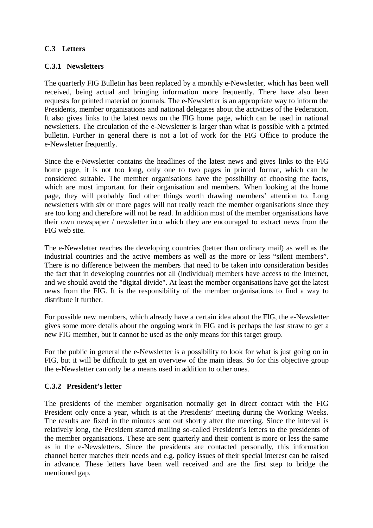### **C.3 Letters**

#### **C.3.1 Newsletters**

The quarterly FIG Bulletin has been replaced by a monthly e-Newsletter, which has been well received, being actual and bringing information more frequently. There have also been requests for printed material or journals. The e-Newsletter is an appropriate way to inform the Presidents, member organisations and national delegates about the activities of the Federation. It also gives links to the latest news on the FIG home page, which can be used in national newsletters. The circulation of the e-Newsletter is larger than what is possible with a printed bulletin. Further in general there is not a lot of work for the FIG Office to produce the e-Newsletter frequently.

Since the e-Newsletter contains the headlines of the latest news and gives links to the FIG home page, it is not too long, only one to two pages in printed format, which can be considered suitable. The member organisations have the possibility of choosing the facts, which are most important for their organisation and members. When looking at the home page, they will probably find other things worth drawing members' attention to. Long newsletters with six or more pages will not really reach the member organisations since they are too long and therefore will not be read. In addition most of the member organisations have their own newspaper / newsletter into which they are encouraged to extract news from the FIG web site.

The e-Newsletter reaches the developing countries (better than ordinary mail) as well as the industrial countries and the active members as well as the more or less "silent members". There is no difference between the members that need to be taken into consideration besides the fact that in developing countries not all (individual) members have access to the Internet, and we should avoid the "digital divide". At least the member organisations have got the latest news from the FIG. It is the responsibility of the member organisations to find a way to distribute it further.

For possible new members, which already have a certain idea about the FIG, the e-Newsletter gives some more details about the ongoing work in FIG and is perhaps the last straw to get a new FIG member, but it cannot be used as the only means for this target group.

For the public in general the e-Newsletter is a possibility to look for what is just going on in FIG, but it will be difficult to get an overview of the main ideas. So for this objective group the e-Newsletter can only be a means used in addition to other ones.

#### **C.3.2 President's letter**

The presidents of the member organisation normally get in direct contact with the FIG President only once a year, which is at the Presidents' meeting during the Working Weeks. The results are fixed in the minutes sent out shortly after the meeting. Since the interval is relatively long, the President started mailing so-called President's letters to the presidents of the member organisations. These are sent quarterly and their content is more or less the same as in the e-Newsletters. Since the presidents are contacted personally, this information channel better matches their needs and e.g. policy issues of their special interest can be raised in advance. These letters have been well received and are the first step to bridge the mentioned gap.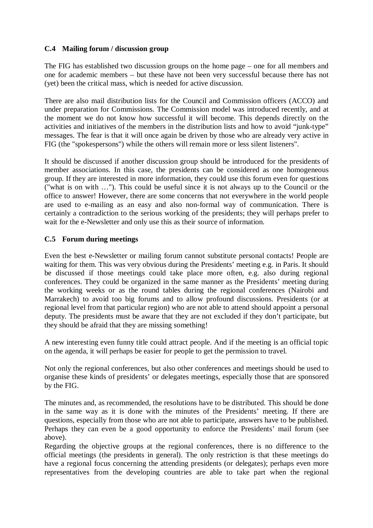### **C.4 Mailing forum / discussion group**

The FIG has established two discussion groups on the home page – one for all members and one for academic members – but these have not been very successful because there has not (yet) been the critical mass, which is needed for active discussion.

There are also mail distribution lists for the Council and Commission officers (ACCO) and under preparation for Commissions. The Commission model was introduced recently, and at the moment we do not know how successful it will become. This depends directly on the activities and initiatives of the members in the distribution lists and how to avoid "junk-type" messages. The fear is that it will once again be driven by those who are already very active in FIG (the "spokespersons") while the others will remain more or less silent listeners".

It should be discussed if another discussion group should be introduced for the presidents of member associations. In this case, the presidents can be considered as one homogeneous group. If they are interested in more information, they could use this forum even for questions ("what is on with …"). This could be useful since it is not always up to the Council or the office to answer! However, there are some concerns that not everywhere in the world people are used to e-mailing as an easy and also non-formal way of communication. There is certainly a contradiction to the serious working of the presidents; they will perhaps prefer to wait for the e-Newsletter and only use this as their source of information.

#### **C.5 Forum during meetings**

Even the best e-Newsletter or mailing forum cannot substitute personal contacts! People are waiting for them. This was very obvious during the Presidents' meeting e.g. in Paris. It should be discussed if those meetings could take place more often, e.g. also during regional conferences. They could be organized in the same manner as the Presidents' meeting during the working weeks or as the round tables during the regional conferences (Nairobi and Marrakech) to avoid too big forums and to allow profound discussions. Presidents (or at regional level from that particular region) who are not able to attend should appoint a personal deputy. The presidents must be aware that they are not excluded if they don't participate, but they should be afraid that they are missing something!

A new interesting even funny title could attract people. And if the meeting is an official topic on the agenda, it will perhaps be easier for people to get the permission to travel.

Not only the regional conferences, but also other conferences and meetings should be used to organise these kinds of presidents' or delegates meetings, especially those that are sponsored by the FIG.

The minutes and, as recommended, the resolutions have to be distributed. This should be done in the same way as it is done with the minutes of the Presidents' meeting. If there are questions, especially from those who are not able to participate, answers have to be published. Perhaps they can even be a good opportunity to enforce the Presidents' mail forum (see above).

Regarding the objective groups at the regional conferences, there is no difference to the official meetings (the presidents in general). The only restriction is that these meetings do have a regional focus concerning the attending presidents (or delegates); perhaps even more representatives from the developing countries are able to take part when the regional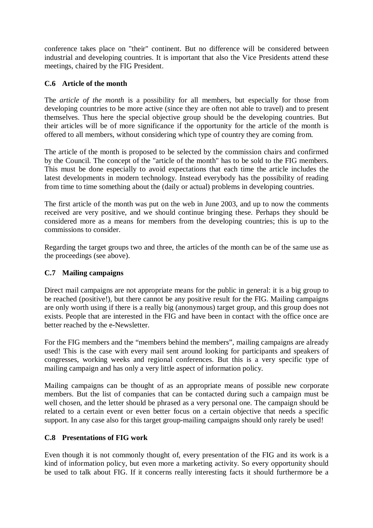conference takes place on "their" continent. But no difference will be considered between industrial and developing countries. It is important that also the Vice Presidents attend these meetings, chaired by the FIG President.

#### **C.6 Article of the month**

The *article of the month* is a possibility for all members, but especially for those from developing countries to be more active (since they are often not able to travel) and to present themselves. Thus here the special objective group should be the developing countries. But their articles will be of more significance if the opportunity for the article of the month is offered to all members, without considering which type of country they are coming from.

The article of the month is proposed to be selected by the commission chairs and confirmed by the Council. The concept of the "article of the month" has to be sold to the FIG members. This must be done especially to avoid expectations that each time the article includes the latest developments in modern technology. Instead everybody has the possibility of reading from time to time something about the (daily or actual) problems in developing countries.

The first article of the month was put on the web in June 2003, and up to now the comments received are very positive, and we should continue bringing these. Perhaps they should be considered more as a means for members from the developing countries; this is up to the commissions to consider.

Regarding the target groups two and three, the articles of the month can be of the same use as the proceedings (see above).

## **C.7 Mailing campaigns**

Direct mail campaigns are not appropriate means for the public in general: it is a big group to be reached (positive!), but there cannot be any positive result for the FIG. Mailing campaigns are only worth using if there is a really big (anonymous) target group, and this group does not exists. People that are interested in the FIG and have been in contact with the office once are better reached by the e-Newsletter.

For the FIG members and the "members behind the members", mailing campaigns are already used! This is the case with every mail sent around looking for participants and speakers of congresses, working weeks and regional conferences. But this is a very specific type of mailing campaign and has only a very little aspect of information policy.

Mailing campaigns can be thought of as an appropriate means of possible new corporate members. But the list of companies that can be contacted during such a campaign must be well chosen, and the letter should be phrased as a very personal one. The campaign should be related to a certain event or even better focus on a certain objective that needs a specific support. In any case also for this target group-mailing campaigns should only rarely be used!

#### **C.8 Presentations of FIG work**

Even though it is not commonly thought of, every presentation of the FIG and its work is a kind of information policy, but even more a marketing activity. So every opportunity should be used to talk about FIG. If it concerns really interesting facts it should furthermore be a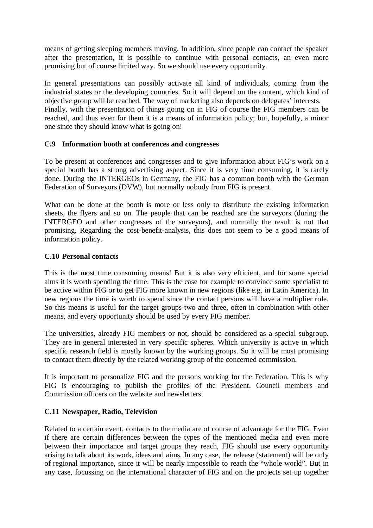means of getting sleeping members moving. In addition, since people can contact the speaker after the presentation, it is possible to continue with personal contacts, an even more promising but of course limited way. So we should use every opportunity.

In general presentations can possibly activate all kind of individuals, coming from the industrial states or the developing countries. So it will depend on the content, which kind of objective group will be reached. The way of marketing also depends on delegates' interests. Finally, with the presentation of things going on in FIG of course the FIG members can be reached, and thus even for them it is a means of information policy; but, hopefully, a minor one since they should know what is going on!

#### **C.9 Information booth at conferences and congresses**

To be present at conferences and congresses and to give information about FIG's work on a special booth has a strong advertising aspect. Since it is very time consuming, it is rarely done. During the INTERGEOs in Germany, the FIG has a common booth with the German Federation of Surveyors (DVW), but normally nobody from FIG is present.

What can be done at the booth is more or less only to distribute the existing information sheets, the flyers and so on. The people that can be reached are the surveyors (during the INTERGEO and other congresses of the surveyors), and normally the result is not that promising. Regarding the cost-benefit-analysis, this does not seem to be a good means of information policy.

#### **C.10 Personal contacts**

This is the most time consuming means! But it is also very efficient, and for some special aims it is worth spending the time. This is the case for example to convince some specialist to be active within FIG or to get FIG more known in new regions (like e.g. in Latin America). In new regions the time is worth to spend since the contact persons will have a multiplier role. So this means is useful for the target groups two and three, often in combination with other means, and every opportunity should be used by every FIG member.

The universities, already FIG members or not, should be considered as a special subgroup. They are in general interested in very specific spheres. Which university is active in which specific research field is mostly known by the working groups. So it will be most promising to contact them directly by the related working group of the concerned commission.

It is important to personalize FIG and the persons working for the Federation. This is why FIG is encouraging to publish the profiles of the President, Council members and Commission officers on the website and newsletters.

#### **C.11 Newspaper, Radio, Television**

Related to a certain event, contacts to the media are of course of advantage for the FIG. Even if there are certain differences between the types of the mentioned media and even more between their importance and target groups they reach, FIG should use every opportunity arising to talk about its work, ideas and aims. In any case, the release (statement) will be only of regional importance, since it will be nearly impossible to reach the "whole world". But in any case, focussing on the international character of FIG and on the projects set up together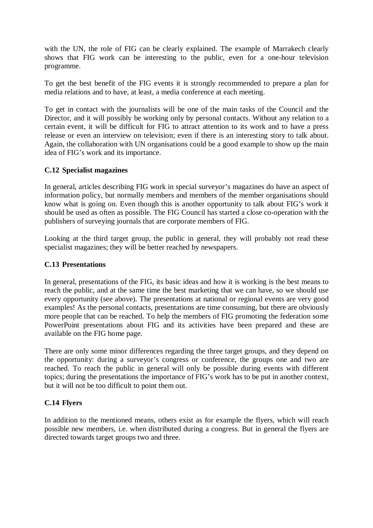with the UN, the role of FIG can be clearly explained. The example of Marrakech clearly shows that FIG work can be interesting to the public, even for a one-hour television programme.

To get the best benefit of the FIG events it is strongly recommended to prepare a plan for media relations and to have, at least, a media conference at each meeting.

To get in contact with the journalists will be one of the main tasks of the Council and the Director, and it will possibly be working only by personal contacts. Without any relation to a certain event, it will be difficult for FIG to attract attention to its work and to have a press release or even an interview on television; even if there is an interesting story to talk about. Again, the collaboration with UN organisations could be a good example to show up the main idea of FIG's work and its importance.

#### **C.12 Specialist magazines**

In general, articles describing FIG work in special surveyor's magazines do have an aspect of information policy, but normally members and members of the member organisations should know what is going on. Even though this is another opportunity to talk about FIG's work it should be used as often as possible. The FIG Council has started a close co-operation with the publishers of surveying journals that are corporate members of FIG.

Looking at the third target group, the public in general, they will probably not read these specialist magazines; they will be better reached by newspapers.

#### **C.13 Presentations**

In general, presentations of the FIG, its basic ideas and how it is working is the best means to reach the public, and at the same time the best marketing that we can have, so we should use every opportunity (see above). The presentations at national or regional events are very good examples! As the personal contacts, presentations are time consuming, but there are obviously more people that can be reached. To help the members of FIG promoting the federation some PowerPoint presentations about FIG and its activities have been prepared and these are available on the FIG home page.

There are only some minor differences regarding the three target groups, and they depend on the opportunity: during a surveyor's congress or conference, the groups one and two are reached. To reach the public in general will only be possible during events with different topics; during the presentations the importance of FIG's work has to be put in another context, but it will not be too difficult to point them out.

#### **C.14 Flyers**

In addition to the mentioned means, others exist as for example the flyers, which will reach possible new members, i.e. when distributed during a congress. But in general the flyers are directed towards target groups two and three.